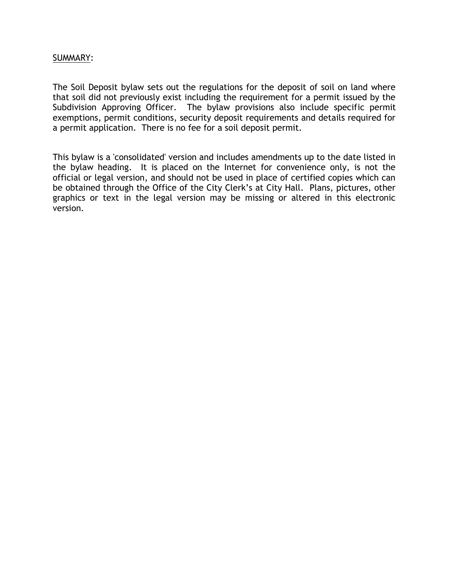# SUMMARY:

The Soil Deposit bylaw sets out the regulations for the deposit of soil on land where that soil did not previously exist including the requirement for a permit issued by the Subdivision Approving Officer. The bylaw provisions also include specific permit exemptions, permit conditions, security deposit requirements and details required for a permit application. There is no fee for a soil deposit permit.

This bylaw is a 'consolidated' version and includes amendments up to the date listed in the bylaw heading. It is placed on the Internet for convenience only, is not the official or legal version, and should not be used in place of certified copies which can be obtained through the Office of the City Clerk's at City Hall. Plans, pictures, other graphics or text in the legal version may be missing or altered in this electronic version.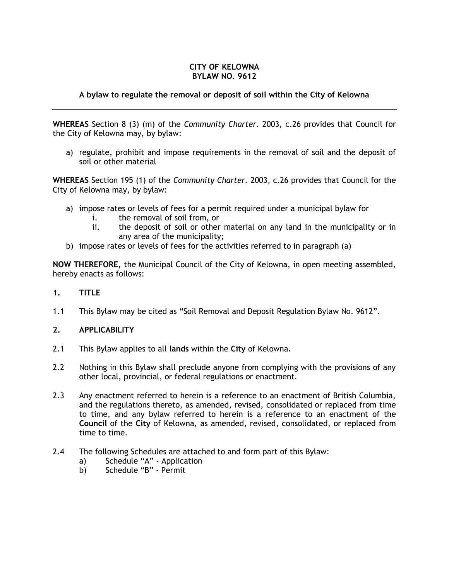#### **CITY OF KELOWNA BYLAW NO. 9612**

# **A bylaw to regulate the removal or deposit of soil within the City of Kelowna**

**WHEREAS** Section 8 (3) (m) of the *Community Charter*. 2003, c.26 provides that Council for the City of Kelowna may, by bylaw:

a) regulate, prohibit and impose requirements in the removal of soil and the deposit of soil or other material

**WHEREAS** Section 195 (1) of the *Community Charter.* 2003, c.26 provides that Council for the City of Kelowna may, by bylaw:

- a) impose rates or levels of fees for a permit required under a municipal bylaw for
	- i. the removal of soil from, or
	- ii. the deposit of soil or other material on any land in the municipality or in any area of the municipality;
- b) impose rates or levels of fees for the activities referred to in paragraph (a)

**NOW THEREFORE,** the Municipal Council of the City of Kelowna, in open meeting assembled, hereby enacts as follows:

- **1. TITLE**
- 1.1 This Bylaw may be cited as "Soil Removal and Deposit Regulation Bylaw No. 9612".

## **2. APPLICABILITY**

- 2.1 This Bylaw applies to all **lands** within the **City** of Kelowna.
- 2.2 Nothing in this Bylaw shall preclude anyone from complying with the provisions of any other local, provincial, or federal regulations or enactment.
- 2.3 Any enactment referred to herein is a reference to an enactment of British Columbia, and the regulations thereto, as amended, revised, consolidated or replaced from time to time, and any bylaw referred to herein is a reference to an enactment of the **Council** of the **City** of Kelowna, as amended, revised, consolidated, or replaced from time to time.
- 2.4 The following Schedules are attached to and form part of this Bylaw:
	- a) Schedule "A" Application
	- b) Schedule "B" Permit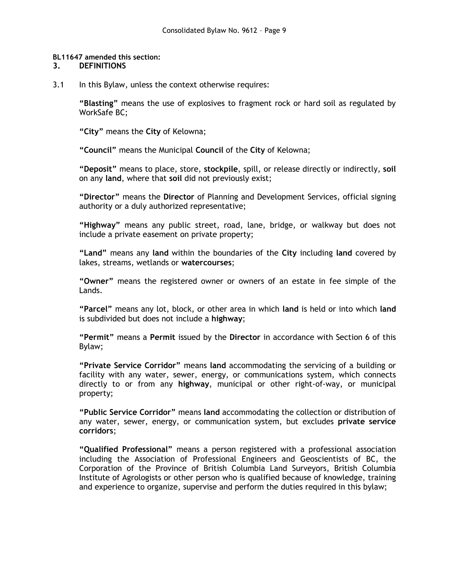#### **BL11647 amended this section:**

#### **3. DEFINITIONS**

3.1 In this Bylaw, unless the context otherwise requires:

**"Blasting"** means the use of explosives to fragment rock or hard soil as regulated by WorkSafe BC;

**"City"** means the **City** of Kelowna;

**"Council"** means the Municipal **Council** of the **City** of Kelowna;

**"Deposit"** means to place, store, **stockpile**, spill, or release directly or indirectly, **soil**  on any **land**, where that **soil** did not previously exist;

**"Director"** means the **Director** of Planning and Development Services, official signing authority or a duly authorized representative;

**"Highway"** means any public street, road, lane, bridge, or walkway but does not include a private easement on private property;

**"Land"** means any **land** within the boundaries of the **City** including **land** covered by lakes, streams, wetlands or **watercourses**;

**"Owner"** means the registered owner or owners of an estate in fee simple of the Lands.

**"Parcel"** means any lot, block, or other area in which **land** is held or into which **land** is subdivided but does not include a **highway**;

**"Permit"** means a **Permit** issued by the **Director** in accordance with Section 6 of this Bylaw;

**"Private Service Corridor"** means **land** accommodating the servicing of a building or facility with any water, sewer, energy, or communications system, which connects directly to or from any **highway**, municipal or other right-of-way, or municipal property;

**"Public Service Corridor"** means **land** accommodating the collection or distribution of any water, sewer, energy, or communication system, but excludes **private service corridors**;

**"Qualified Professional"** means a person registered with a professional association including the Association of Professional Engineers and Geoscientists of BC, the Corporation of the Province of British Columbia Land Surveyors, British Columbia Institute of Agrologists or other person who is qualified because of knowledge, training and experience to organize, supervise and perform the duties required in this bylaw;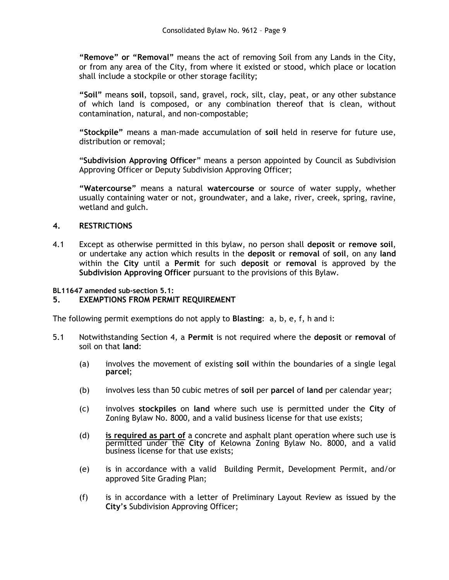**"Remove" or "Removal"** means the act of removing Soil from any Lands in the City, or from any area of the City, from where it existed or stood, which place or location shall include a stockpile or other storage facility;

**"Soil"** means **soil**, topsoil, sand, gravel, rock, silt, clay, peat, or any other substance of which land is composed, or any combination thereof that is clean, without contamination, natural, and non-compostable;

**"Stockpile"** means a man-made accumulation of **soil** held in reserve for future use, distribution or removal;

"**Subdivision Approving Officer**" means a person appointed by Council as Subdivision Approving Officer or Deputy Subdivision Approving Officer;

**"Watercourse"** means a natural **watercourse** or source of water supply, whether usually containing water or not, groundwater, and a lake, river, creek, spring, ravine, wetland and gulch.

## **4. RESTRICTIONS**

4.1 Except as otherwise permitted in this bylaw, no person shall **deposit** or **remove soil**, or undertake any action which results in the **deposit** or **removal** of **soil**, on any **land** within the **City** until a **Permit** for such **deposit** or **removal** is approved by the **Subdivision Approving Officer** pursuant to the provisions of this Bylaw.

**BL11647 amended sub-section 5.1:**

## **5. EXEMPTIONS FROM PERMIT REQUIREMENT**

The following permit exemptions do not apply to **Blasting**: a, b, e, f, h and i:

- 5.1 Notwithstanding Section 4, a **Permit** is not required where the **deposit** or **removal** of soil on that **land**:
	- (a) involves the movement of existing **soil** within the boundaries of a single legal **parcel**;
	- (b) involves less than 50 cubic metres of **soil** per **parcel** of **land** per calendar year;
	- (c) involves **stockpiles** on **land** where such use is permitted under the **City** of Zoning Bylaw No. 8000, and a valid business license for that use exists;
	- (d) **is required as part of** a concrete and asphalt plant operation where such use is permitted under the **City** of Kelowna Zoning Bylaw No. 8000, and a valid business license for that use exists;
	- (e) is in accordance with a valid Building Permit, Development Permit, and/or approved Site Grading Plan;
	- (f) is in accordance with a letter of Preliminary Layout Review as issued by the **City**'**s** Subdivision Approving Officer;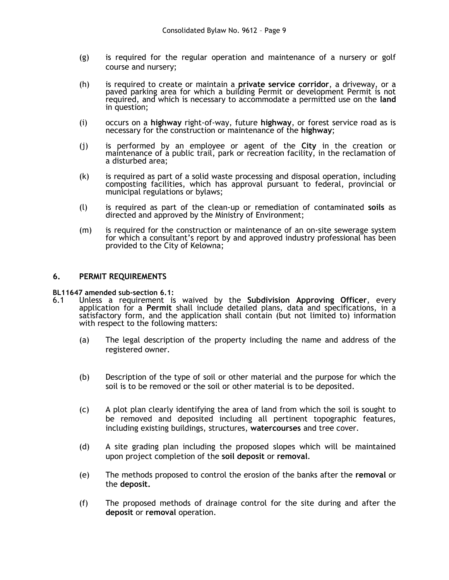- (g) is required for the regular operation and maintenance of a nursery or golf course and nursery;
- (h) is required to create or maintain a **private service corridor**, a driveway, or a paved parking area for which a building Permit or development Permit is not required, and which is necessary to accommodate a permitted use on the **land** in question;
- (i) occurs on a **highway** right-of-way, future **highway**, or forest service road as is necessary for the construction or maintenance of the **highway**;
- (j) is performed by an employee or agent of the **City** in the creation or maintenance of a public trail, park or recreation facility, in the reclamation of a disturbed area;
- (k) is required as part of a solid waste processing and disposal operation, including composting facilities, which has approval pursuant to federal, provincial or municipal regulations or bylaws;
- (l) is required as part of the clean-up or remediation of contaminated **soils** as directed and approved by the Ministry of Environment;
- (m) is required for the construction or maintenance of an on-site sewerage system for which a consultant's report by and approved industry professional has been provided to the City of Kelowna;

#### **6. PERMIT REQUIREMENTS**

- **BL11647 amended sub-section 6.1:** 6.1 Unless a requirement is waived by the **Subdivision Approving Officer**, every application for a **Permit** shall include detailed plans, data and specifications, in a satisfactory form, and the application shall contain (but not limited to) information with respect to the following matters:
	- (a) The legal description of the property including the name and address of the registered owner.
	- (b) Description of the type of soil or other material and the purpose for which the soil is to be removed or the soil or other material is to be deposited.
	- (c) A plot plan clearly identifying the area of land from which the soil is sought to be removed and deposited including all pertinent topographic features, including existing buildings, structures, **watercourses** and tree cover.
	- (d) A site grading plan including the proposed slopes which will be maintained upon project completion of the **soil deposit** or **removal**.
	- (e) The methods proposed to control the erosion of the banks after the **removal** or the **deposit.**
	- (f) The proposed methods of drainage control for the site during and after the **deposit** or **removal** operation.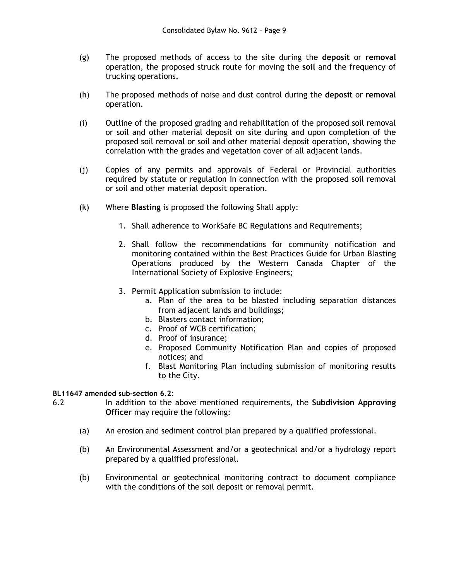- (g) The proposed methods of access to the site during the **deposit** or **removal**  operation, the proposed struck route for moving the **soil** and the frequency of trucking operations.
- (h) The proposed methods of noise and dust control during the **deposit** or **removal**  operation.
- (i) Outline of the proposed grading and rehabilitation of the proposed soil removal or soil and other material deposit on site during and upon completion of the proposed soil removal or soil and other material deposit operation, showing the correlation with the grades and vegetation cover of all adjacent lands.
- (j) Copies of any permits and approvals of Federal or Provincial authorities required by statute or regulation in connection with the proposed soil removal or soil and other material deposit operation.
- (k) Where **Blasting** is proposed the following Shall apply:
	- 1. Shall adherence to WorkSafe BC Regulations and Requirements;
	- 2. Shall follow the recommendations for community notification and monitoring contained within the Best Practices Guide for Urban Blasting Operations produced by the Western Canada Chapter of the International Society of Explosive Engineers;
	- 3. Permit Application submission to include:
		- a. Plan of the area to be blasted including separation distances from adjacent lands and buildings;
		- b. Blasters contact information;
		- c. Proof of WCB certification;
		- d. Proof of insurance;
		- e. Proposed Community Notification Plan and copies of proposed notices; and
		- f. Blast Monitoring Plan including submission of monitoring results to the City.

## **BL11647 amended sub-section 6.2:**

- 6.2 In addition to the above mentioned requirements, the **Subdivision Approving Officer** may require the following:
	- (a) An erosion and sediment control plan prepared by a qualified professional.
	- (b) An Environmental Assessment and/or a geotechnical and/or a hydrology report prepared by a qualified professional.
	- (b) Environmental or geotechnical monitoring contract to document compliance with the conditions of the soil deposit or removal permit.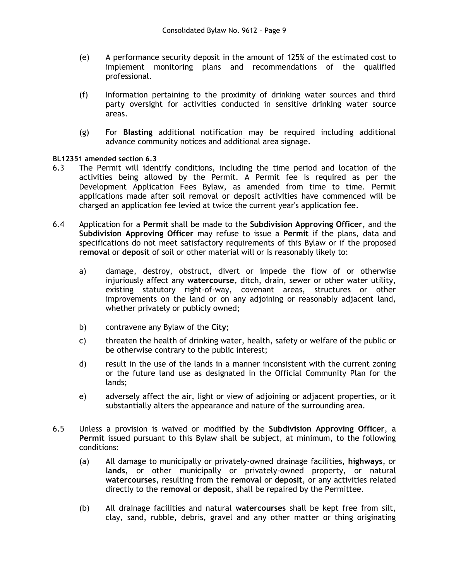- (e) A performance security deposit in the amount of 125% of the estimated cost to implement monitoring plans and recommendations of the qualified professional.
- (f) Information pertaining to the proximity of drinking water sources and third party oversight for activities conducted in sensitive drinking water source areas.
- (g) For **Blasting** additional notification may be required including additional advance community notices and additional area signage.

#### **BL12351 amended section 6.3**

- 6.3 The Permit will identify conditions, including the time period and location of the activities being allowed by the Permit. A Permit fee is required as per the Development Application Fees Bylaw, as amended from time to time. Permit applications made after soil removal or deposit activities have commenced will be charged an application fee levied at twice the current year's application fee.
- 6.4 Application for a **Permit** shall be made to the **Subdivision Approving Officer**, and the **Subdivision Approving Officer** may refuse to issue a **Permit** if the plans, data and specifications do not meet satisfactory requirements of this Bylaw or if the proposed **removal** or **deposit** of soil or other material will or is reasonably likely to:
	- a) damage, destroy, obstruct, divert or impede the flow of or otherwise injuriously affect any **watercourse**, ditch, drain, sewer or other water utility, existing statutory right-of-way, covenant areas, structures or other improvements on the land or on any adjoining or reasonably adjacent land, whether privately or publicly owned;
	- b) contravene any Bylaw of the **City**;
	- c) threaten the health of drinking water, health, safety or welfare of the public or be otherwise contrary to the public interest;
	- d) result in the use of the lands in a manner inconsistent with the current zoning or the future land use as designated in the Official Community Plan for the lands;
	- e) adversely affect the air, light or view of adjoining or adjacent properties, or it substantially alters the appearance and nature of the surrounding area.
- 6.5 Unless a provision is waived or modified by the **Subdivision Approving Officer**, a **Permit** issued pursuant to this Bylaw shall be subject, at minimum, to the following conditions:
	- (a) All damage to municipally or privately-owned drainage facilities, **highways**, or **lands**, or other municipally or privately-owned property, or natural **watercourses**, resulting from the **removal** or **deposit**, or any activities related directly to the **removal** or **deposit**, shall be repaired by the Permittee.
	- (b) All drainage facilities and natural **watercourses** shall be kept free from silt, clay, sand, rubble, debris, gravel and any other matter or thing originating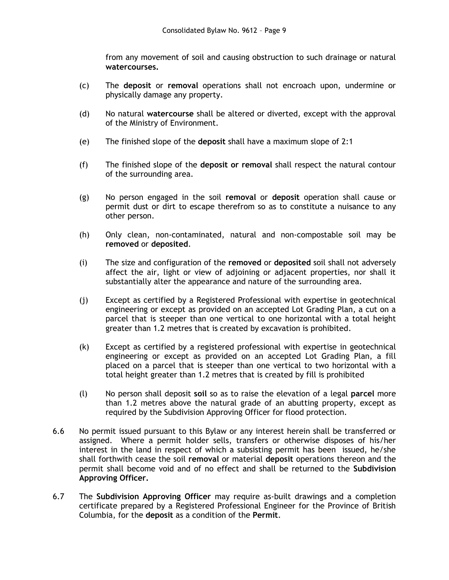from any movement of soil and causing obstruction to such drainage or natural **watercourses.**

- (c) The **deposit** or **removal** operations shall not encroach upon, undermine or physically damage any property.
- (d) No natural **watercourse** shall be altered or diverted, except with the approval of the Ministry of Environment.
- (e) The finished slope of the **deposit** shall have a maximum slope of 2:1
- (f) The finished slope of the **deposit or removal** shall respect the natural contour of the surrounding area.
- (g) No person engaged in the soil **removal** or **deposit** operation shall cause or permit dust or dirt to escape therefrom so as to constitute a nuisance to any other person.
- (h) Only clean, non-contaminated, natural and non-compostable soil may be **removed** or **deposited**.
- (i) The size and configuration of the **removed** or **deposited** soil shall not adversely affect the air, light or view of adjoining or adjacent properties, nor shall it substantially alter the appearance and nature of the surrounding area.
- (j) Except as certified by a Registered Professional with expertise in geotechnical engineering or except as provided on an accepted Lot Grading Plan, a cut on a parcel that is steeper than one vertical to one horizontal with a total height greater than 1.2 metres that is created by excavation is prohibited.
- (k) Except as certified by a registered professional with expertise in geotechnical engineering or except as provided on an accepted Lot Grading Plan, a fill placed on a parcel that is steeper than one vertical to two horizontal with a total height greater than 1.2 metres that is created by fill is prohibited
- (l) No person shall deposit **soil** so as to raise the elevation of a legal **parcel** more than 1.2 metres above the natural grade of an abutting property, except as required by the Subdivision Approving Officer for flood protection.
- 6.6 No permit issued pursuant to this Bylaw or any interest herein shall be transferred or assigned. Where a permit holder sells, transfers or otherwise disposes of his/her interest in the land in respect of which a subsisting permit has been issued, he/she shall forthwith cease the soil **removal** or material **deposit** operations thereon and the permit shall become void and of no effect and shall be returned to the **Subdivision Approving Officer.**
- 6.7 The **Subdivision Approving Officer** may require as-built drawings and a completion certificate prepared by a Registered Professional Engineer for the Province of British Columbia, for the **deposit** as a condition of the **Permit**.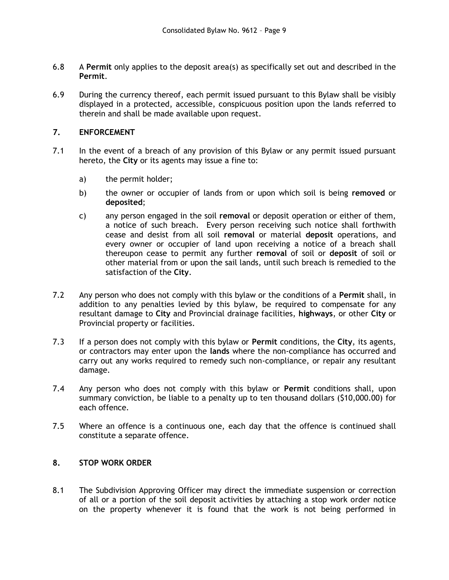- 6.8 A **Permit** only applies to the deposit area(s) as specifically set out and described in the **Permit**.
- 6.9 During the currency thereof, each permit issued pursuant to this Bylaw shall be visibly displayed in a protected, accessible, conspicuous position upon the lands referred to therein and shall be made available upon request.

# **7. ENFORCEMENT**

- 7.1 In the event of a breach of any provision of this Bylaw or any permit issued pursuant hereto, the **City** or its agents may issue a fine to:
	- a) the permit holder;
	- b) the owner or occupier of lands from or upon which soil is being **removed** or **deposited**;
	- c) any person engaged in the soil **removal** or deposit operation or either of them, a notice of such breach. Every person receiving such notice shall forthwith cease and desist from all soil **removal** or material **deposit** operations, and every owner or occupier of land upon receiving a notice of a breach shall thereupon cease to permit any further **removal** of soil or **deposit** of soil or other material from or upon the sail lands, until such breach is remedied to the satisfaction of the **City**.
- 7.2 Any person who does not comply with this bylaw or the conditions of a **Permit** shall, in addition to any penalties levied by this bylaw, be required to compensate for any resultant damage to **City** and Provincial drainage facilities, **highways**, or other **City** or Provincial property or facilities.
- 7.3 If a person does not comply with this bylaw or **Permit** conditions, the **City**, its agents, or contractors may enter upon the **lands** where the non-compliance has occurred and carry out any works required to remedy such non-compliance, or repair any resultant damage.
- 7.4 Any person who does not comply with this bylaw or **Permit** conditions shall, upon summary conviction, be liable to a penalty up to ten thousand dollars (\$10,000.00) for each offence.
- 7.5 Where an offence is a continuous one, each day that the offence is continued shall constitute a separate offence.

## **8. STOP WORK ORDER**

8.1 The Subdivision Approving Officer may direct the immediate suspension or correction of all or a portion of the soil deposit activities by attaching a stop work order notice on the property whenever it is found that the work is not being performed in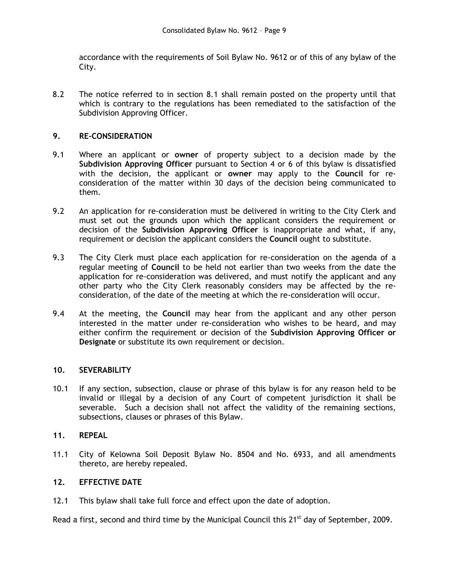accordance with the requirements of Soil Bylaw No. 9612 or of this of any bylaw of the City.

8.2 The notice referred to in section 8.1 shall remain posted on the property until that which is contrary to the regulations has been remediated to the satisfaction of the Subdivision Approving Officer.

## **9. RE-CONSIDERATION**

- 9.1 Where an applicant or **owner** of property subject to a decision made by the **Subdivision Approving Officer** pursuant to Section 4 or 6 of this bylaw is dissatisfied with the decision, the applicant or **owner** may apply to the **Council** for reconsideration of the matter within 30 days of the decision being communicated to them.
- 9.2 An application for re-consideration must be delivered in writing to the City Clerk and must set out the grounds upon which the applicant considers the requirement or decision of the **Subdivision Approving Officer** is inappropriate and what, if any, requirement or decision the applicant considers the **Council** ought to substitute.
- 9.3 The City Clerk must place each application for re-consideration on the agenda of a regular meeting of **Council** to be held not earlier than two weeks from the date the application for re-consideration was delivered, and must notify the applicant and any other party who the City Clerk reasonably considers may be affected by the reconsideration, of the date of the meeting at which the re-consideration will occur.
- 9.4 At the meeting, the **Council** may hear from the applicant and any other person interested in the matter under re-consideration who wishes to be heard, and may either confirm the requirement or decision of the **Subdivision Approving Officer or Designate** or substitute its own requirement or decision.

## **10. SEVERABILITY**

10.1 If any section, subsection, clause or phrase of this bylaw is for any reason held to be invalid or illegal by a decision of any Court of competent jurisdiction it shall be severable. Such a decision shall not affect the validity of the remaining sections, subsections, clauses or phrases of this Bylaw.

## **11. REPEAL**

11.1 City of Kelowna Soil Deposit Bylaw No. 8504 and No. 6933, and all amendments thereto, are hereby repealed.

## **12. EFFECTIVE DATE**

12.1 This bylaw shall take full force and effect upon the date of adoption.

Read a first, second and third time by the Municipal Council this 21<sup>st</sup> day of September, 2009.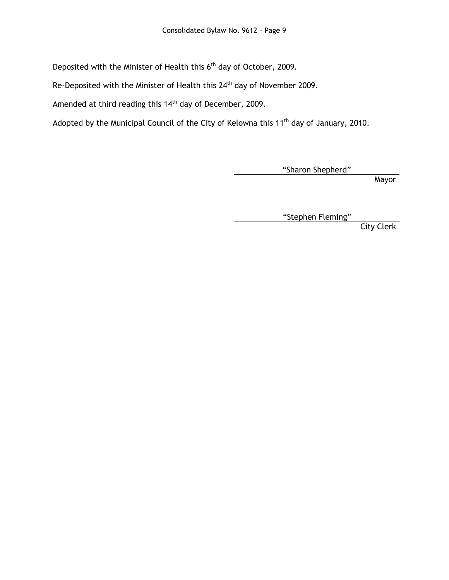Deposited with the Minister of Health this 6<sup>th</sup> day of October, 2009.

Re-Deposited with the Minister of Health this 24<sup>th</sup> day of November 2009.

Amended at third reading this 14<sup>th</sup> day of December, 2009.

Adopted by the Municipal Council of the City of Kelowna this 11<sup>th</sup> day of January, 2010.

"Sharon Shepherd"

Mayor

"Stephen Fleming"

City Clerk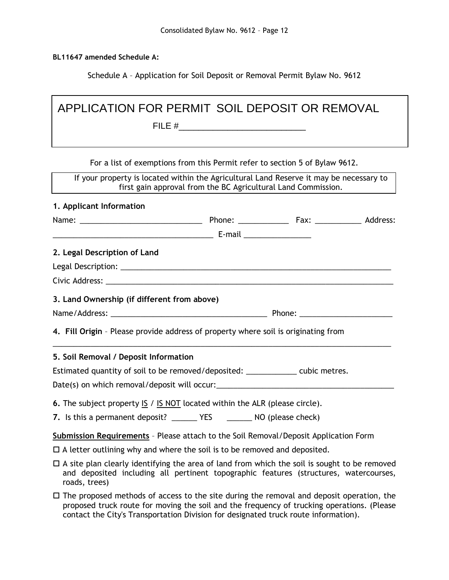**BL11647 amended Schedule A:**

Schedule A – Application for Soil Deposit or Removal Permit Bylaw No. 9612

| APPLICATION FOR PERMIT SOIL DEPOSIT OR REMOVAL                                       |  |                                                                                                                                                                                              |  |  |  |  |  |  |  |
|--------------------------------------------------------------------------------------|--|----------------------------------------------------------------------------------------------------------------------------------------------------------------------------------------------|--|--|--|--|--|--|--|
|                                                                                      |  |                                                                                                                                                                                              |  |  |  |  |  |  |  |
|                                                                                      |  |                                                                                                                                                                                              |  |  |  |  |  |  |  |
|                                                                                      |  | For a list of exemptions from this Permit refer to section 5 of Bylaw 9612.                                                                                                                  |  |  |  |  |  |  |  |
|                                                                                      |  | If your property is located within the Agricultural Land Reserve it may be necessary to<br>first gain approval from the BC Agricultural Land Commission.                                     |  |  |  |  |  |  |  |
| 1. Applicant Information                                                             |  |                                                                                                                                                                                              |  |  |  |  |  |  |  |
|                                                                                      |  |                                                                                                                                                                                              |  |  |  |  |  |  |  |
|                                                                                      |  |                                                                                                                                                                                              |  |  |  |  |  |  |  |
| 2. Legal Description of Land                                                         |  |                                                                                                                                                                                              |  |  |  |  |  |  |  |
|                                                                                      |  |                                                                                                                                                                                              |  |  |  |  |  |  |  |
|                                                                                      |  |                                                                                                                                                                                              |  |  |  |  |  |  |  |
| 3. Land Ownership (if different from above)                                          |  |                                                                                                                                                                                              |  |  |  |  |  |  |  |
|                                                                                      |  |                                                                                                                                                                                              |  |  |  |  |  |  |  |
| 4. Fill Origin - Please provide address of property where soil is originating from   |  |                                                                                                                                                                                              |  |  |  |  |  |  |  |
| 5. Soil Removal / Deposit Information                                                |  |                                                                                                                                                                                              |  |  |  |  |  |  |  |
| Estimated quantity of soil to be removed/deposited: ______________ cubic metres.     |  |                                                                                                                                                                                              |  |  |  |  |  |  |  |
|                                                                                      |  |                                                                                                                                                                                              |  |  |  |  |  |  |  |
| <b>6.</b> The subject property $15 / 15 NOT$ located within the ALR (please circle). |  |                                                                                                                                                                                              |  |  |  |  |  |  |  |
|                                                                                      |  |                                                                                                                                                                                              |  |  |  |  |  |  |  |
| Submission Requirements - Please attach to the Soil Removal/Deposit Application Form |  |                                                                                                                                                                                              |  |  |  |  |  |  |  |
| $\Box$ A letter outlining why and where the soil is to be removed and deposited.     |  |                                                                                                                                                                                              |  |  |  |  |  |  |  |
| roads, trees)                                                                        |  | $\Box$ A site plan clearly identifying the area of land from which the soil is sought to be removed<br>and deposited including all pertinent topographic features (structures, watercourses, |  |  |  |  |  |  |  |

 $\square$  The proposed methods of access to the site during the removal and deposit operation, the proposed truck route for moving the soil and the frequency of trucking operations. (Please contact the City's Transportation Division for designated truck route information).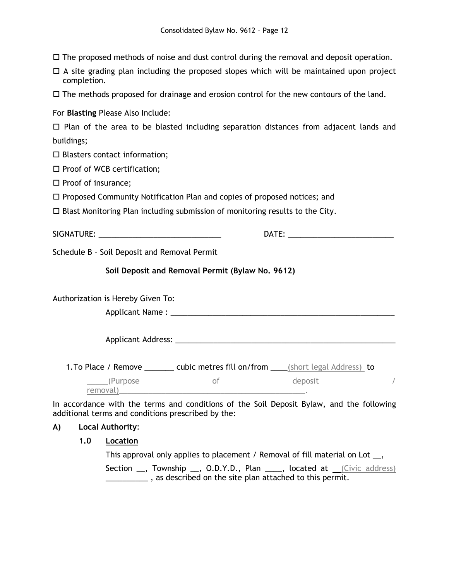$\Box$  The proposed methods of noise and dust control during the removal and deposit operation.

 $\Box$  A site grading plan including the proposed slopes which will be maintained upon project completion.

 $\Box$  The methods proposed for drainage and erosion control for the new contours of the land.

For **Blasting** Please Also Include:

|            |  |  |  | $\Box$ Plan of the area to be blasted including separation distances from adjacent lands and |  |  |  |
|------------|--|--|--|----------------------------------------------------------------------------------------------|--|--|--|
| buildings; |  |  |  |                                                                                              |  |  |  |

 $\square$  Blasters contact information;

 $\square$  Proof of WCB certification;

 $\square$  Proof of insurance;

Proposed Community Notification Plan and copies of proposed notices; and

 $\square$  Blast Monitoring Plan including submission of monitoring results to the City.

SIGNATURE: \_\_\_\_\_\_\_\_\_\_\_\_\_\_\_\_\_\_\_\_\_\_\_\_\_\_\_\_\_ DATE: \_\_\_\_\_\_\_\_\_\_\_\_\_\_\_\_\_\_\_\_\_\_\_\_\_

Schedule B – Soil Deposit and Removal Permit

## **Soil Deposit and Removal Permit (Bylaw No. 9612)**

Authorization is Hereby Given To:

Applicant Name : \_\_\_\_\_\_\_\_\_\_\_\_\_\_\_\_\_\_\_\_\_\_\_\_\_\_\_\_\_\_\_\_\_\_\_\_\_\_\_\_\_\_\_\_\_\_\_\_\_\_\_\_\_

Applicant Address: \_\_\_\_\_\_\_\_\_\_\_\_\_\_\_\_\_\_\_\_\_\_\_\_\_\_\_\_\_\_\_\_\_\_\_\_\_\_\_\_\_\_\_\_\_\_\_\_\_\_\_\_

1. To Place / Remove \_\_\_\_\_\_\_ cubic metres fill on/from \_\_\_\_(short legal Address) to

\_\_\_\_\_(Purpose of deposit / removal)

In accordance with the terms and conditions of the Soil Deposit Bylaw, and the following additional terms and conditions prescribed by the:

## **A) Local Authority**:

#### **1.0 Location**

This approval only applies to placement / Removal of fill material on Lot \_\_,

Section \_\_, Township \_\_, O.D.Y.D., Plan \_\_\_\_, located at (Civic address) **\_\_\_\_\_\_\_\_\_\_**, as described on the site plan attached to this permit.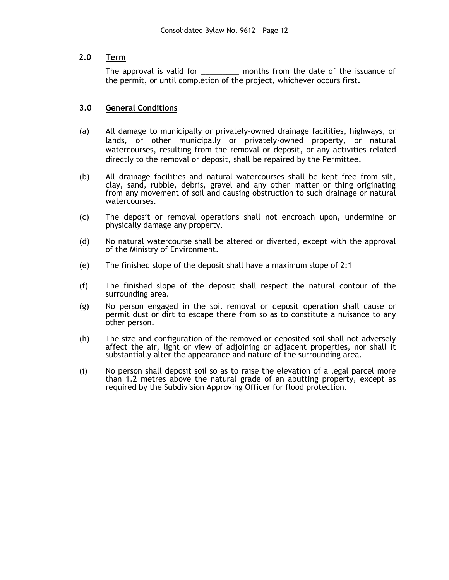# **2.0 Term**

The approval is valid for \_\_\_\_\_\_\_\_\_\_\_ months from the date of the issuance of the permit, or until completion of the project, whichever occurs first.

# **3.0 General Conditions**

- (a) All damage to municipally or privately-owned drainage facilities, highways, or lands, or other municipally or privately-owned property, or natural watercourses, resulting from the removal or deposit, or any activities related directly to the removal or deposit, shall be repaired by the Permittee.
- (b) All drainage facilities and natural watercourses shall be kept free from silt, clay, sand, rubble, debris, gravel and any other matter or thing originating from any movement of soil and causing obstruction to such drainage or natural watercourses.
- (c) The deposit or removal operations shall not encroach upon, undermine or physically damage any property.
- (d) No natural watercourse shall be altered or diverted, except with the approval of the Ministry of Environment.
- (e) The finished slope of the deposit shall have a maximum slope of 2:1
- (f) The finished slope of the deposit shall respect the natural contour of the surrounding area.
- (g) No person engaged in the soil removal or deposit operation shall cause or permit dust or dirt to escape there from so as to constitute a nuisance to any other person.
- (h) The size and configuration of the removed or deposited soil shall not adversely affect the air, light or view of adjoining or adjacent properties, nor shall it substantially alter the appearance and nature of the surrounding area.
- (i) No person shall deposit soil so as to raise the elevation of a legal parcel more than 1.2 metres above the natural grade of an abutting property, except as required by the Subdivision Approving Officer for flood protection.